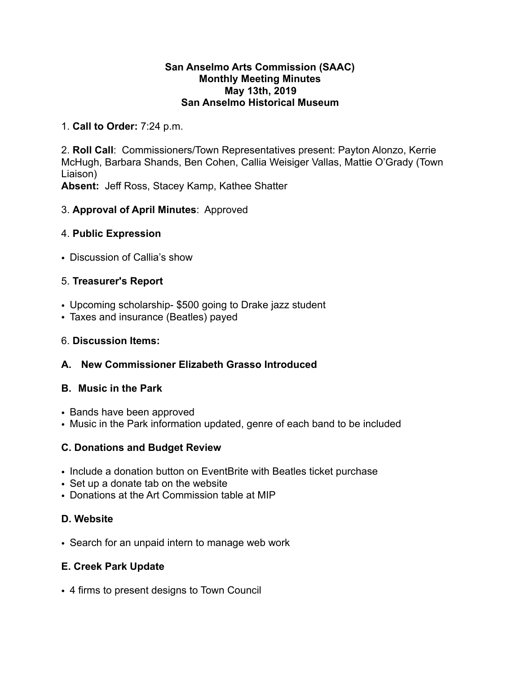#### **San Anselmo Arts Commission (SAAC) Monthly Meeting Minutes May 13th, 2019 San Anselmo Historical Museum**

## 1. **Call to Order:** 7:24 p.m.

2. **Roll Call**: Commissioners/Town Representatives present: Payton Alonzo, Kerrie McHugh, Barbara Shands, Ben Cohen, Callia Weisiger Vallas, Mattie O'Grady (Town Liaison)

**Absent:** Jeff Ross, Stacey Kamp, Kathee Shatter

## 3. **Approval of April Minutes**: Approved

#### 4. **Public Expression**

• Discussion of Callia's show

#### 5. **Treasurer's Report**

- Upcoming scholarship- \$500 going to Drake jazz student
- Taxes and insurance (Beatles) payed

#### 6. **Discussion Items:**

## **A. New Commissioner Elizabeth Grasso Introduced**

#### **B. Music in the Park**

- Bands have been approved
- Music in the Park information updated, genre of each band to be included

## **C. Donations and Budget Review**

- Include a donation button on EventBrite with Beatles ticket purchase
- Set up a donate tab on the website
- Donations at the Art Commission table at MIP

## **D. Website**

• Search for an unpaid intern to manage web work

## **E. Creek Park Update**

• 4 firms to present designs to Town Council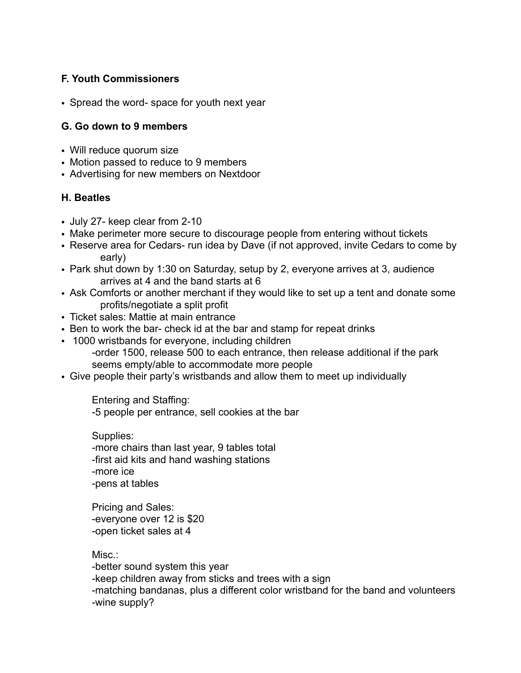# **F. Youth Commissioners**

• Spread the word- space for youth next year

#### **G. Go down to 9 members**

- Will reduce quorum size
- Motion passed to reduce to 9 members
- Advertising for new members on Nextdoor

## **H. Beatles**

- July 27- keep clear from 2-10
- Make perimeter more secure to discourage people from entering without tickets
- Reserve area for Cedars- run idea by Dave (if not approved, invite Cedars to come by early)
- Park shut down by 1:30 on Saturday, setup by 2, everyone arrives at 3, audience arrives at 4 and the band starts at 6
- Ask Comforts or another merchant if they would like to set up a tent and donate some profits/negotiate a split profit
- Ticket sales: Mattie at main entrance
- Ben to work the bar- check id at the bar and stamp for repeat drinks
- 1000 wristbands for everyone, including children -order 1500, release 500 to each entrance, then release additional if the park seems empty/able to accommodate more people
- Give people their party's wristbands and allow them to meet up individually

Entering and Staffing:

-5 people per entrance, sell cookies at the bar

 Supplies: -more chairs than last year, 9 tables total -first aid kits and hand washing stations -more ice -pens at tables

 Pricing and Sales: -everyone over 12 is \$20 -open ticket sales at 4

Misc.: -better sound system this year -keep children away from sticks and trees with a sign -matching bandanas, plus a different color wristband for the band and volunteers -wine supply?